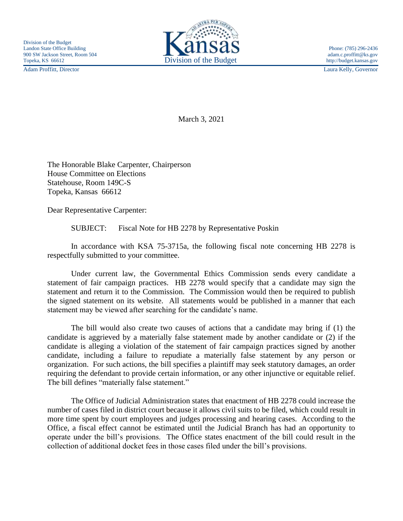Adam Proffitt, Director Laura Kelly, Governor



March 3, 2021

The Honorable Blake Carpenter, Chairperson House Committee on Elections Statehouse, Room 149C-S Topeka, Kansas 66612

Dear Representative Carpenter:

SUBJECT: Fiscal Note for HB 2278 by Representative Poskin

In accordance with KSA 75-3715a, the following fiscal note concerning HB 2278 is respectfully submitted to your committee.

Under current law, the Governmental Ethics Commission sends every candidate a statement of fair campaign practices. HB 2278 would specify that a candidate may sign the statement and return it to the Commission. The Commission would then be required to publish the signed statement on its website. All statements would be published in a manner that each statement may be viewed after searching for the candidate's name.

The bill would also create two causes of actions that a candidate may bring if (1) the candidate is aggrieved by a materially false statement made by another candidate or (2) if the candidate is alleging a violation of the statement of fair campaign practices signed by another candidate, including a failure to repudiate a materially false statement by any person or organization. For such actions, the bill specifies a plaintiff may seek statutory damages, an order requiring the defendant to provide certain information, or any other injunctive or equitable relief. The bill defines "materially false statement."

The Office of Judicial Administration states that enactment of HB 2278 could increase the number of cases filed in district court because it allows civil suits to be filed, which could result in more time spent by court employees and judges processing and hearing cases. According to the Office, a fiscal effect cannot be estimated until the Judicial Branch has had an opportunity to operate under the bill's provisions. The Office states enactment of the bill could result in the collection of additional docket fees in those cases filed under the bill's provisions.